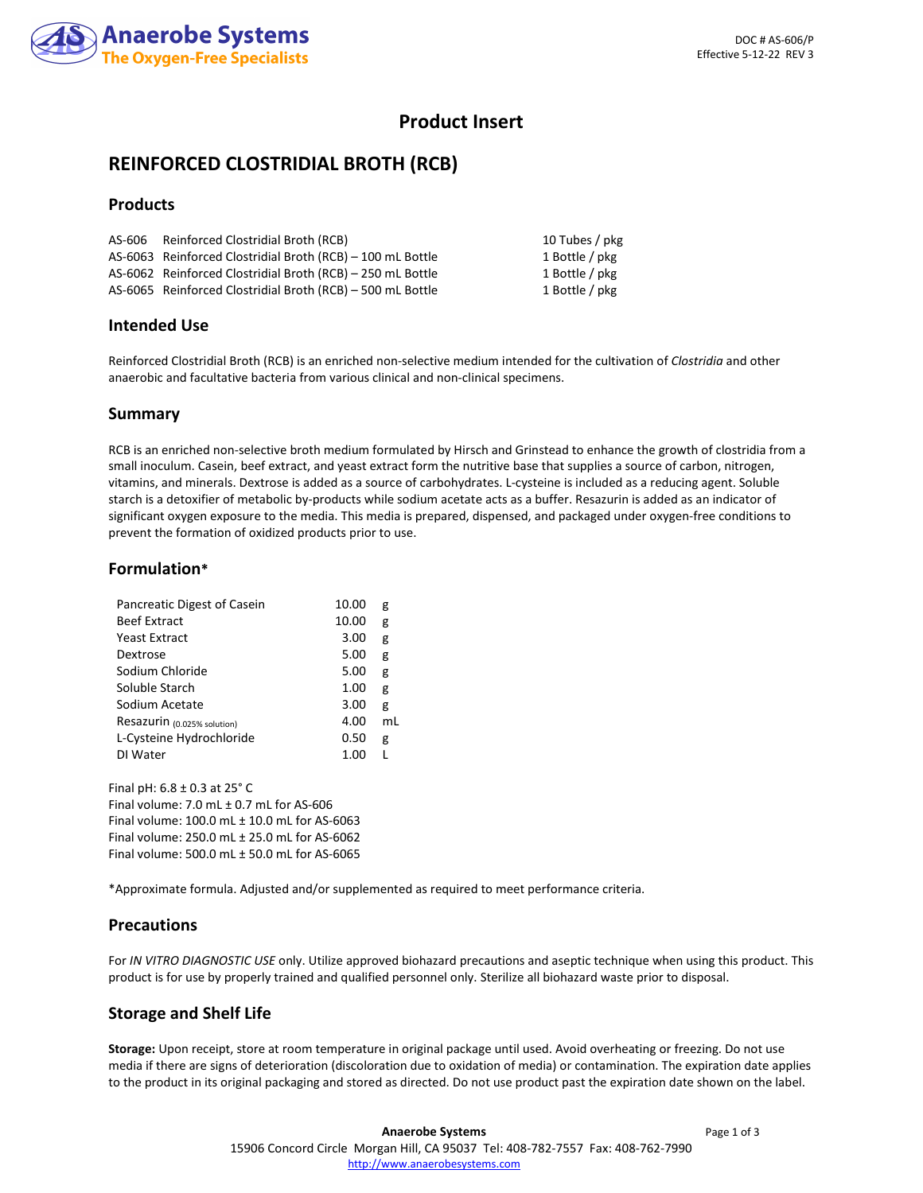

# **Product Insert**

# **REINFORCED CLOSTRIDIAL BROTH (RCB)**

# **Products**

| AS-606 Reinforced Clostridial Broth (RCB)                  | 10 Tubes / pkg |
|------------------------------------------------------------|----------------|
| AS-6063 Reinforced Clostridial Broth (RCB) - 100 mL Bottle | 1 Bottle / pkg |
| AS-6062 Reinforced Clostridial Broth (RCB) – 250 mL Bottle | 1 Bottle / pkg |
| AS-6065 Reinforced Clostridial Broth (RCB) - 500 mL Bottle | 1 Bottle / pkg |

## **Intended Use**

Reinforced Clostridial Broth (RCB) is an enriched non-selective medium intended for the cultivation of *Clostridia* and other anaerobic and facultative bacteria from various clinical and non-clinical specimens.

## **Summary**

RCB is an enriched non-selective broth medium formulated by Hirsch and Grinstead to enhance the growth of clostridia from a small inoculum. Casein, beef extract, and yeast extract form the nutritive base that supplies a source of carbon, nitrogen, vitamins, and minerals. Dextrose is added as a source of carbohydrates. L-cysteine is included as a reducing agent. Soluble starch is a detoxifier of metabolic by-products while sodium acetate acts as a buffer. Resazurin is added as an indicator of significant oxygen exposure to the media. This media is prepared, dispensed, and packaged under oxygen-free conditions to prevent the formation of oxidized products prior to use.

## **Formulation\***

| Pancreatic Digest of Casein | 10.00 | g  |
|-----------------------------|-------|----|
| <b>Beef Extract</b>         | 10.00 | g  |
| Yeast Extract               | 3.00  | g  |
| Dextrose                    | 5.00  | g  |
| Sodium Chloride             | 5.00  | g  |
| Soluble Starch              | 1.00  | g  |
| Sodium Acetate              | 3.00  | g  |
| Resazurin (0.025% solution) | 4.00  | ml |
| L-Cysteine Hydrochloride    | 0.50  | g  |
| DI Water                    | 1.00  |    |
|                             |       |    |

Final pH: 6.8 ± 0.3 at 25° C Final volume:  $7.0$  mL  $\pm$  0.7 mL for AS-606 Final volume: 100.0 mL ± 10.0 mL for AS-6063 Final volume: 250.0 mL ± 25.0 mL for AS-6062 Final volume: 500.0 mL ± 50.0 mL for AS-6065

\*Approximate formula. Adjusted and/or supplemented as required to meet performance criteria.

#### **Precautions**

For *IN VITRO DIAGNOSTIC USE* only. Utilize approved biohazard precautions and aseptic technique when using this product. This product is for use by properly trained and qualified personnel only. Sterilize all biohazard waste prior to disposal.

# **Storage and Shelf Life**

**Storage:** Upon receipt, store at room temperature in original package until used. Avoid overheating or freezing. Do not use media if there are signs of deterioration (discoloration due to oxidation of media) or contamination. The expiration date applies to the product in its original packaging and stored as directed. Do not use product past the expiration date shown on the label.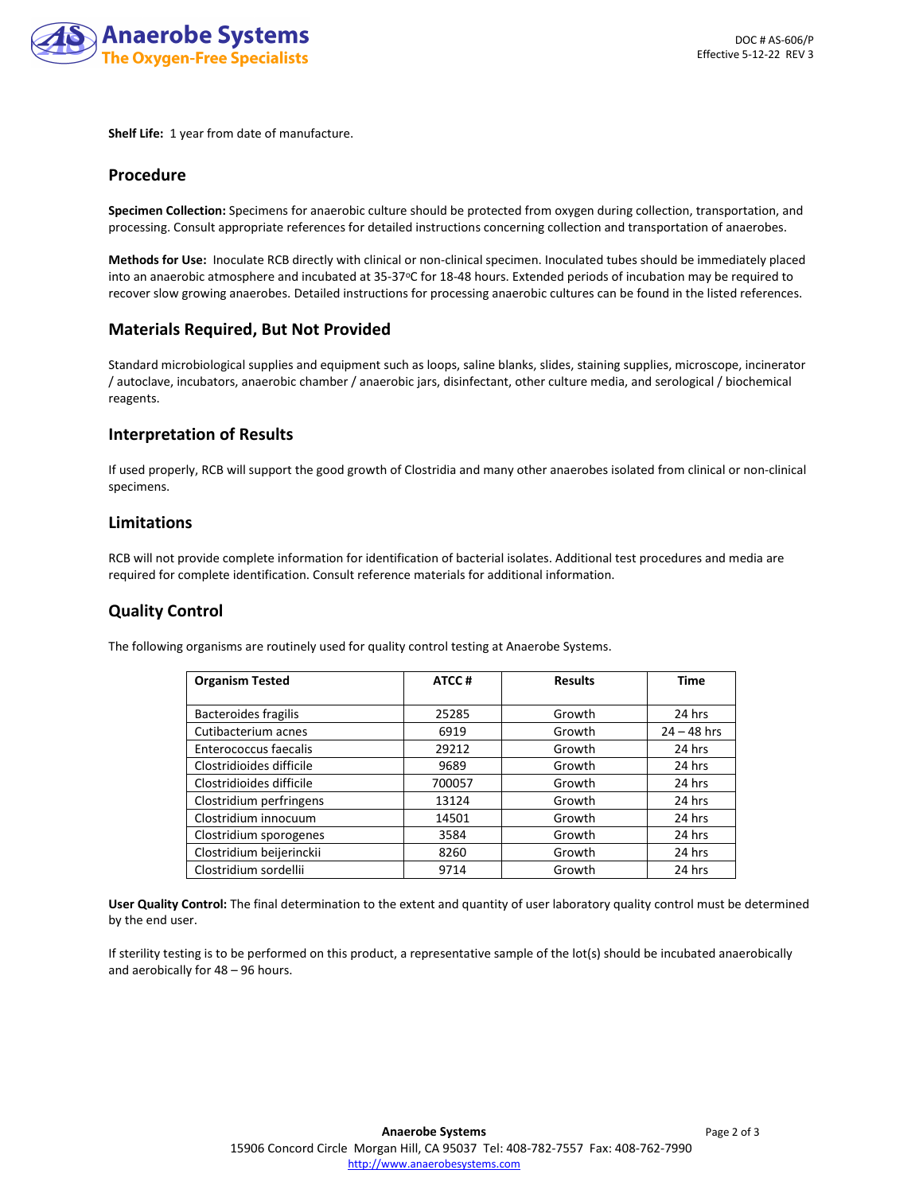

**Shelf Life:** 1 year from date of manufacture.

#### **Procedure**

**Specimen Collection:** Specimens for anaerobic culture should be protected from oxygen during collection, transportation, and processing. Consult appropriate references for detailed instructions concerning collection and transportation of anaerobes.

**Methods for Use:** Inoculate RCB directly with clinical or non-clinical specimen. Inoculated tubes should be immediately placed into an anaerobic atmosphere and incubated at 35-37°C for 18-48 hours. Extended periods of incubation may be required to recover slow growing anaerobes. Detailed instructions for processing anaerobic cultures can be found in the listed references.

#### **Materials Required, But Not Provided**

Standard microbiological supplies and equipment such as loops, saline blanks, slides, staining supplies, microscope, incinerator / autoclave, incubators, anaerobic chamber / anaerobic jars, disinfectant, other culture media, and serological / biochemical reagents.

## **Interpretation of Results**

If used properly, RCB will support the good growth of Clostridia and many other anaerobes isolated from clinical or non-clinical specimens.

## **Limitations**

RCB will not provide complete information for identification of bacterial isolates. Additional test procedures and media are required for complete identification. Consult reference materials for additional information.

# **Quality Control**

The following organisms are routinely used for quality control testing at Anaerobe Systems.

| <b>Organism Tested</b>      | ATCC#  | <b>Results</b> | <b>Time</b>   |
|-----------------------------|--------|----------------|---------------|
|                             |        |                |               |
| <b>Bacteroides fragilis</b> | 25285  | Growth         | 24 hrs        |
| Cutibacterium acnes         | 6919   | Growth         | $24 - 48$ hrs |
| Enterococcus faecalis       | 29212  | Growth         | 24 hrs        |
| Clostridioides difficile    | 9689   | Growth         | 24 hrs        |
| Clostridioides difficile    | 700057 | Growth         | 24 hrs        |
| Clostridium perfringens     | 13124  | Growth         | 24 hrs        |
| Clostridium innocuum        | 14501  | Growth         | 24 hrs        |
| Clostridium sporogenes      | 3584   | Growth         | 24 hrs        |
| Clostridium beijerinckii    | 8260   | Growth         | 24 hrs        |
| Clostridium sordellii       | 9714   | Growth         | 24 hrs        |

**User Quality Control:** The final determination to the extent and quantity of user laboratory quality control must be determined by the end user.

If sterility testing is to be performed on this product, a representative sample of the lot(s) should be incubated anaerobically and aerobically for 48 – 96 hours.